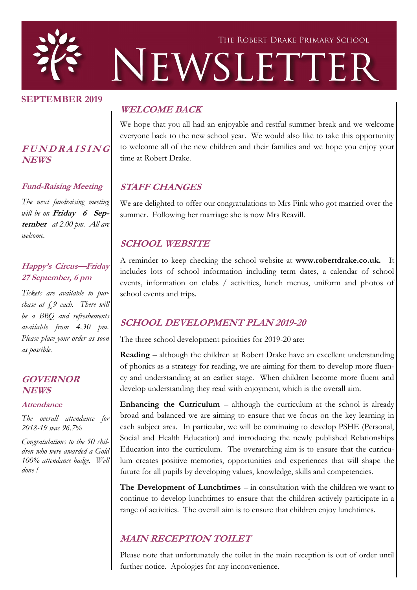

#### **SEPTEMBER 2019**

### **<sup>F</sup> <sup>U</sup> <sup>N</sup> <sup>D</sup> <sup>R</sup> <sup>A</sup> <sup>I</sup> <sup>S</sup> <sup>I</sup> <sup>N</sup> <sup>G</sup> NEWS**

#### **Fund-Raising Meeting**

*The next fundraising meeting will be on* **Friday 6 September** *at 2.00 pm. All are welcome.*

#### **Happy's Circus—Friday 27 September, 6 pm**

*Tickets are available to purchase at £9 each. There will be a BBQ and refreshements available from 4.30 pm. Please place your order as soon as possible.* 

### **GOVERNOR NEWS**

#### **Attendance**

*The overall attendance for 2018-19 was 96.7%*

*Congratulations to the 50 children who were awarded a Gold 100% attendance badge. Well done !*

## **WELCOME BACK**

We hope that you all had an enjoyable and restful summer break and we welcome everyone back to the new school year. We would also like to take this opportunity to welcome all of the new children and their families and we hope you enjoy your time at Robert Drake.

## **STAFF CHANGES**

We are delighted to offer our congratulations to Mrs Fink who got married over the summer. Following her marriage she is now Mrs Reavill.

## **SCHOOL WEBSITE**

A reminder to keep checking the school website at **www.robertdrake.co.uk.** It includes lots of school information including term dates, a calendar of school events, information on clubs / activities, lunch menus, uniform and photos of school events and trips.

## **SCHOOL DEVELOPMENT PLAN 2019-20**

The three school development priorities for 2019-20 are:

**Reading** – although the children at Robert Drake have an excellent understanding of phonics as a strategy for reading, we are aiming for them to develop more fluency and understanding at an earlier stage. When children become more fluent and develop understanding they read with enjoyment, which is the overall aim.

**Enhancing the Curriculum – although the curriculum at the school is already** broad and balanced we are aiming to ensure that we focus on the key learning in each subject area. In particular, we will be continuing to develop PSHE (Personal, Social and Health Education) and introducing the newly published Relationships Education into the curriculum. The overarching aim is to ensure that the curriculum creates positive memories, opportunities and experiences that will shape the future for all pupils by developing values, knowledge, skills and competencies.

**The Development of Lunchtimes** – in consultation with the children we want to continue to develop lunchtimes to ensure that the children actively participate in a range of activities. The overall aim is to ensure that children enjoy lunchtimes.

# **MAIN RECEPTION TOILET**

Please note that unfortunately the toilet in the main reception is out of order until further notice. Apologies for any inconvenience.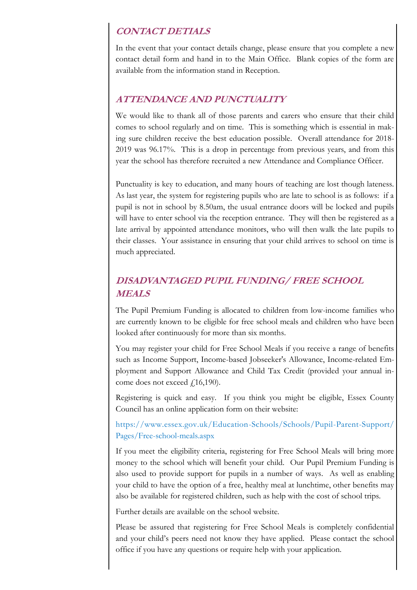## **CONTACT DETIALS**

In the event that your contact details change, please ensure that you complete a new contact detail form and hand in to the Main Office. Blank copies of the form are available from the information stand in Reception.

### **ATTENDANCE AND PUNCTUALITY**

We would like to thank all of those parents and carers who ensure that their child comes to school regularly and on time. This is something which is essential in making sure children receive the best education possible. Overall attendance for 2018- 2019 was 96.17%. This is a drop in percentage from previous years, and from this year the school has therefore recruited a new Attendance and Compliance Officer.

Punctuality is key to education, and many hours of teaching are lost though lateness. As last year, the system for registering pupils who are late to school is as follows: if a pupil is not in school by 8.50am, the usual entrance doors will be locked and pupils will have to enter school via the reception entrance. They will then be registered as a late arrival by appointed attendance monitors, who will then walk the late pupils to their classes. Your assistance in ensuring that your child arrives to school on time is much appreciated.

## **DISADVANTAGED PUPIL FUNDING/ FREE SCHOOL MEALS**

The Pupil Premium Funding is allocated to children from low-income families who are currently known to be eligible for free school meals and children who have been looked after continuously for more than six months.

You may register your child for Free School Meals if you receive a range of benefits such as Income Support, Income-based Jobseeker's Allowance, Income-related Employment and Support Allowance and Child Tax Credit (provided your annual income does not exceed  $\text{\textsterling}16,190$ ).

Registering is quick and easy. If you think you might be eligible, Essex County Council has an online application form on their website:

https://www.essex.gov.uk/Education-Schools/Schools/Pupil-Parent-Support/ Pages/Free-school-meals.aspx

If you meet the eligibility criteria, registering for Free School Meals will bring more money to the school which will benefit your child. Our Pupil Premium Funding is also used to provide support for pupils in a number of ways. As well as enabling your child to have the option of a free, healthy meal at lunchtime, other benefits may also be available for registered children, such as help with the cost of school trips.

Further details are available on the school website.

Please be assured that registering for Free School Meals is completely confidential and your child's peers need not know they have applied. Please contact the school office if you have any questions or require help with your application.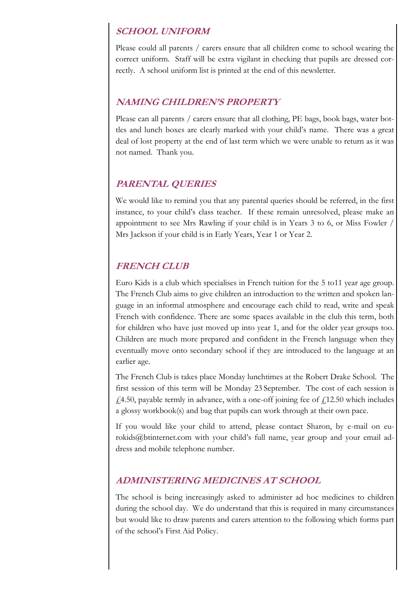## **SCHOOL UNIFORM**

Please could all parents / carers ensure that all children come to school wearing the correct uniform. Staff will be extra vigilant in checking that pupils are dressed correctly. A school uniform list is printed at the end of this newsletter.

## **NAMING CHILDREN'S PROPERTY**

Please can all parents / carers ensure that all clothing, PE bags, book bags, water bottles and lunch boxes are clearly marked with your child's name. There was a great deal of lost property at the end of last term which we were unable to return as it was not named. Thank you.

# **PARENTAL QUERIES**

We would like to remind you that any parental queries should be referred, in the first instance, to your child's class teacher. If these remain unresolved, please make an appointment to see Mrs Rawling if your child is in Years 3 to 6, or Miss Fowler / Mrs Jackson if your child is in Early Years, Year 1 or Year 2.

## **FRENCH CLUB**

Euro Kids is a club which specialises in French tuition for the 5 to11 year age group. The French Club aims to give children an introduction to the written and spoken language in an informal atmosphere and encourage each child to read, write and speak French with confidence. There are some spaces available in the club this term, both for children who have just moved up into year 1, and for the older year groups too. Children are much more prepared and confident in the French language when they eventually move onto secondary school if they are introduced to the language at an earlier age.

The French Club is takes place Monday lunchtimes at the Robert Drake School. The first session of this term will be Monday 23 September. The cost of each session is  $f(4.50,$  payable termly in advance, with a one-off joining fee of  $f(12.50)$  which includes a glossy workbook(s) and bag that pupils can work through at their own pace.

If you would like your child to attend, please contact Sharon, by e-mail on eurokids@btinternet.com with your child's full name, year group and your email address and mobile telephone number.

## **ADMINISTERING MEDICINES AT SCHOOL**

The school is being increasingly asked to administer ad hoc medicines to children during the school day. We do understand that this is required in many circumstances but would like to draw parents and carers attention to the following which forms part of the school's First Aid Policy.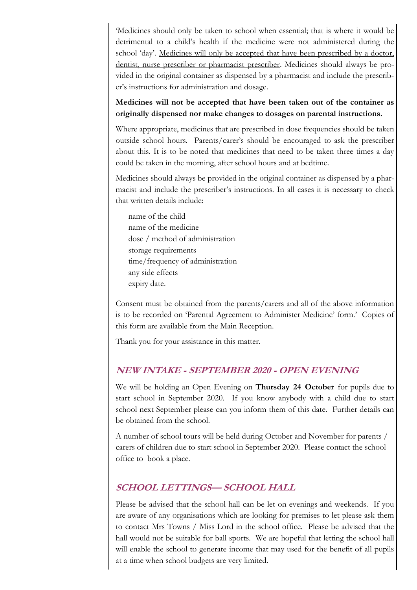'Medicines should only be taken to school when essential; that is where it would be detrimental to a child's health if the medicine were not administered during the school 'day'. Medicines will only be accepted that have been prescribed by a doctor, dentist, nurse prescriber or pharmacist prescriber. Medicines should always be provided in the original container as dispensed by a pharmacist and include the prescriber's instructions for administration and dosage.

### **Medicines will not be accepted that have been taken out of the container as originally dispensed nor make changes to dosages on parental instructions.**

Where appropriate, medicines that are prescribed in dose frequencies should be taken outside school hours. Parents/carer's should be encouraged to ask the prescriber about this. It is to be noted that medicines that need to be taken three times a day could be taken in the morning, after school hours and at bedtime.

Medicines should always be provided in the original container as dispensed by a pharmacist and include the prescriber's instructions. In all cases it is necessary to check that written details include:

name of the child name of the medicine dose / method of administration storage requirements time/frequency of administration any side effects expiry date.

Consent must be obtained from the parents/carers and all of the above information is to be recorded on 'Parental Agreement to Administer Medicine' form.' Copies of this form are available from the Main Reception.

Thank you for your assistance in this matter.

## **NEW INTAKE - SEPTEMBER 2020 - OPEN EVENING**

We will be holding an Open Evening on **Thursday 24 October** for pupils due to start school in September 2020. If you know anybody with a child due to start school next September please can you inform them of this date. Further details can be obtained from the school.

A number of school tours will be held during October and November for parents / carers of children due to start school in September 2020. Please contact the school office to book a place.

## **SCHOOL LETTINGS— SCHOOL HALL**

Please be advised that the school hall can be let on evenings and weekends. If you are aware of any organisations which are looking for premises to let please ask them to contact Mrs Towns / Miss Lord in the school office. Please be advised that the hall would not be suitable for ball sports. We are hopeful that letting the school hall will enable the school to generate income that may used for the benefit of all pupils at a time when school budgets are very limited.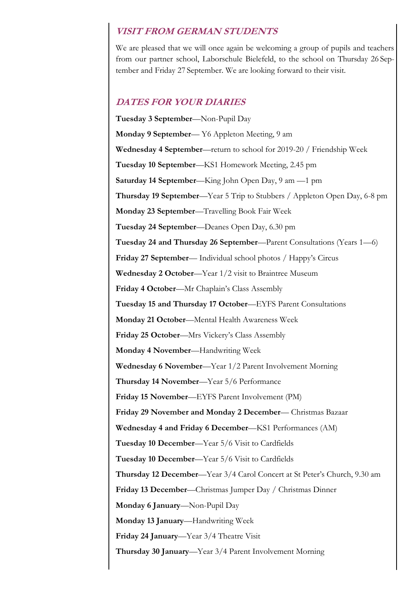### **VISIT FROM GERMAN STUDENTS**

We are pleased that we will once again be welcoming a group of pupils and teachers from our partner school, Laborschule Bielefeld, to the school on Thursday 26 September and Friday 27 September. We are looking forward to their visit.

### **DATES FOR YOUR DIARIES**

**Tuesday 3 September**—Non-Pupil Day **Monday 9 September**— Y6 Appleton Meeting, 9 am **Wednesday 4 September**—return to school for 2019-20 / Friendship Week **Tuesday 10 September**—KS1 Homework Meeting, 2.45 pm **Saturday 14 September**—King John Open Day, 9 am —1 pm **Thursday 19 September**—Year 5 Trip to Stubbers / Appleton Open Day, 6-8 pm **Monday 23 September**—Travelling Book Fair Week **Tuesday 24 September**—Deanes Open Day, 6.30 pm **Tuesday 24 and Thursday 26 September**—Parent Consultations (Years 1—6) **Friday 27 September**— Individual school photos / Happy's Circus **Wednesday 2 October**—Year 1/2 visit to Braintree Museum **Friday 4 October**—Mr Chaplain's Class Assembly **Tuesday 15 and Thursday 17 October**—EYFS Parent Consultations **Monday 21 October**—Mental Health Awareness Week **Friday 25 October**—Mrs Vickery's Class Assembly **Monday 4 November**—Handwriting Week **Wednesday 6 November**—Year 1/2 Parent Involvement Morning **Thursday 14 November**—Year 5/6 Performance **Friday 15 November**—EYFS Parent Involvement (PM) **Friday 29 November and Monday 2 December**— Christmas Bazaar **Wednesday 4 and Friday 6 December**—KS1 Performances (AM) **Tuesday 10 December**—Year 5/6 Visit to Cardfields **Tuesday 10 December**—Year 5/6 Visit to Cardfields **Thursday 12 December**—Year 3/4 Carol Concert at St Peter's Church, 9.30 am **Friday 13 December**—Christmas Jumper Day / Christmas Dinner **Monday 6 January**—Non-Pupil Day **Monday 13 January**—Handwriting Week **Friday 24 January**—Year 3/4 Theatre Visit **Thursday 30 January**—Year 3/4 Parent Involvement Morning